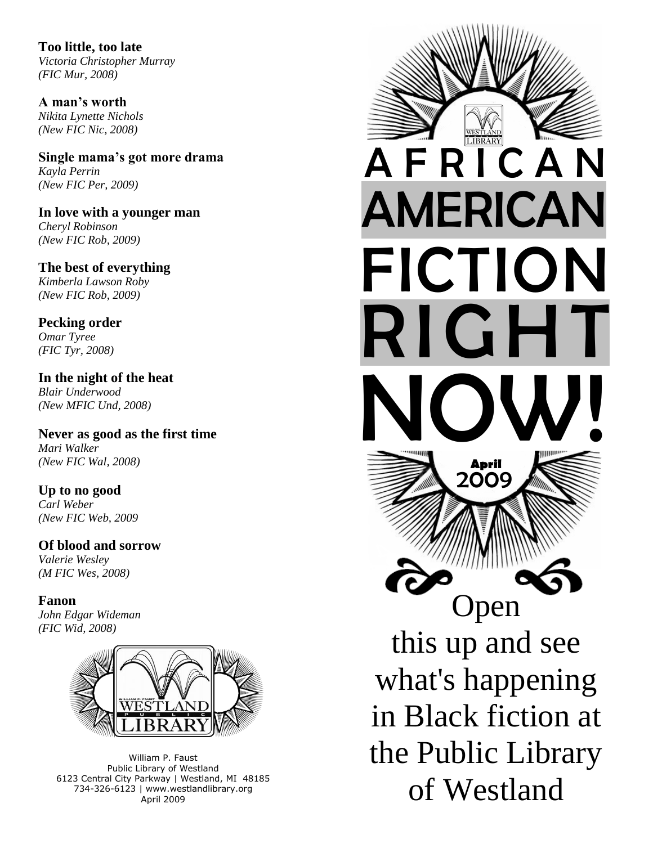**Too little, too late** *Victoria Christopher Murray (FIC Mur, 2008)*

**A man's worth** *Nikita Lynette Nichols (New FIC Nic, 2008)* 

**Single mama's got more drama** *Kayla Perrin (New FIC Per, 2009)*

**In love with a younger man** *Cheryl Robinson (New FIC Rob, 2009)*

**The best of everything** *Kimberla Lawson Roby (New FIC Rob, 2009)*

**Pecking order** *Omar Tyree (FIC Tyr, 2008)*

**In the night of the heat** *Blair Underwood (New MFIC Und, 2008)*

**Never as good as the first time** *Mari Walker (New FIC Wal, 2008)*

**Up to no good** *Carl Weber (New FIC Web, 2009*

**Of blood and sorrow** *Valerie Wesley (M FIC Wes, 2008)*

**Fanon** *John Edgar Wideman (FIC Wid, 2008)*



William P. Faust Public Library of Westland 6123 Central City Parkway | Westland, MI 48185 734-326-6123 | www.westlandlibrary.org April 2009